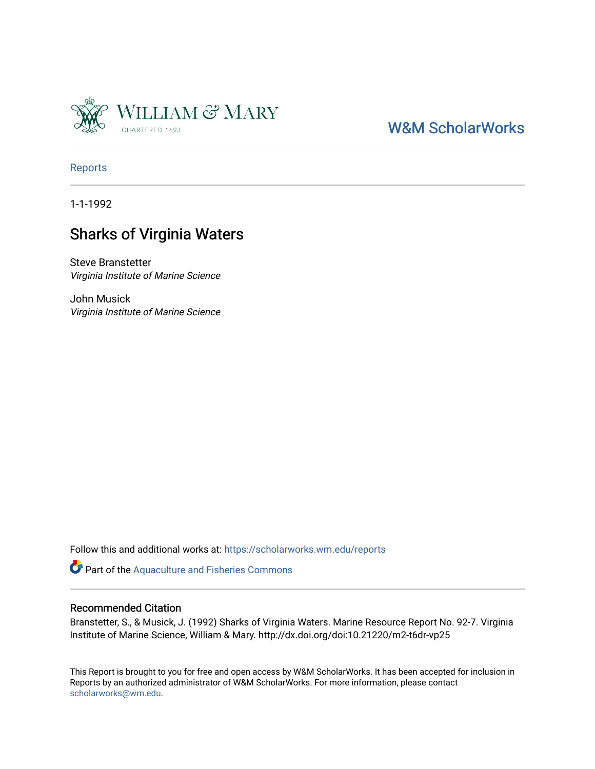

### [W&M ScholarWorks](https://scholarworks.wm.edu/)

[Reports](https://scholarworks.wm.edu/reports)

1-1-1992

### Sharks of Virginia Waters

Steve Branstetter Virginia Institute of Marine Science

John Musick Virginia Institute of Marine Science

Follow this and additional works at: [https://scholarworks.wm.edu/reports](https://scholarworks.wm.edu/reports?utm_source=scholarworks.wm.edu%2Freports%2F1608&utm_medium=PDF&utm_campaign=PDFCoverPages)

Part of the [Aquaculture and Fisheries Commons](http://network.bepress.com/hgg/discipline/78?utm_source=scholarworks.wm.edu%2Freports%2F1608&utm_medium=PDF&utm_campaign=PDFCoverPages)

#### Recommended Citation

Branstetter, S., & Musick, J. (1992) Sharks of Virginia Waters. Marine Resource Report No. 92-7. Virginia Institute of Marine Science, William & Mary. http://dx.doi.org/doi:10.21220/m2-t6dr-vp25

This Report is brought to you for free and open access by W&M ScholarWorks. It has been accepted for inclusion in Reports by an authorized administrator of W&M ScholarWorks. For more information, please contact [scholarworks@wm.edu.](mailto:scholarworks@wm.edu)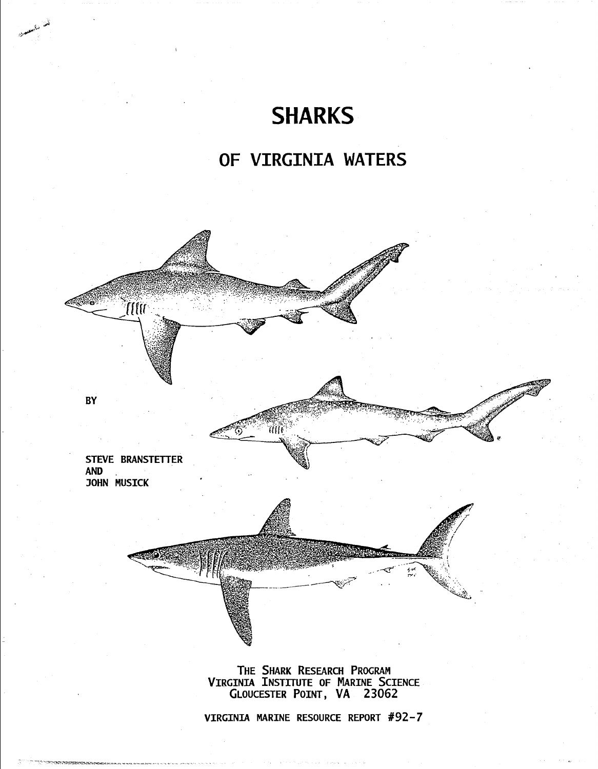# **SHARKS**

## **OF VIRGINIA WATERS**



THE SHARK RESEARCH PROGRAM VIRGINIA INSTITUTE OF MARINE SCIENCE GLOUCESTER POINT, VA 23062

VIRGINIA MARINE RESOURCE REPORT #92-7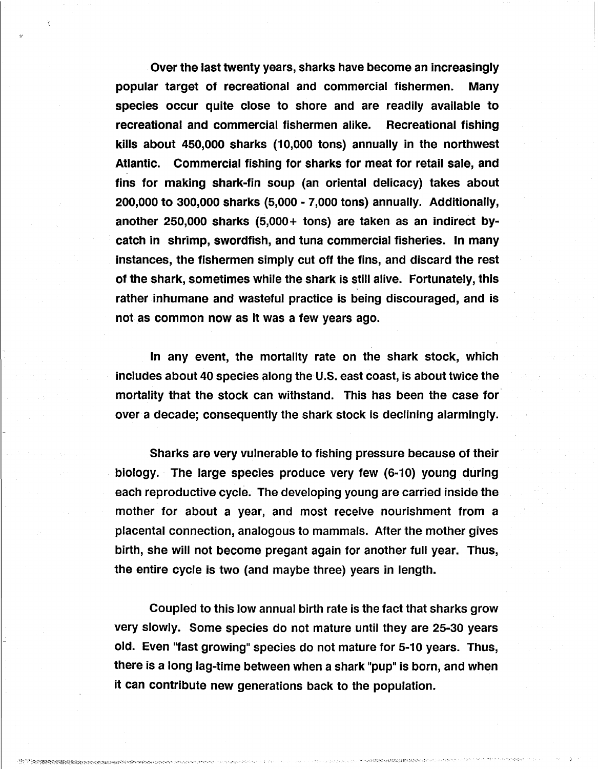Over the last twenty years, sharks have become an increasingly popular target of recreational and commercial fishermen. Many species occur quite close to shore and are readily available to recreational and commercial fishermen alike. Recreational fishing kills about 450,000 sharks (10,000 tons) annually in the northwest Atlantic. Commercial fishing for sharks for meat for retail sale, and fins for making shark-fin soup (an oriental delicacy) takes about 200,000 to 300,000 sharks (5,000 - 7,000 tons) annually. Additionally, another 250,000 sharks (5,000+ tons) are taken as an indirect bycatch in shrimp, swordfish, and tuna commercial fisheries. In many instances, the fishermen simply cut off the fins, and discard the rest of the shark, sometimes while the shark is still alive. Fortunately, this rather inhumane and wasteful practice is being discouraged, and is not as common now as it was a few years ago.

 $\mathbb{G}^{\mathbb{N}}$ 

In any event, the mortality rate on the shark stock, which includes about 40 species along the U.S. east coast, is about twice the mortality that the stock can withstand. This has been the case for· over a decade; consequently the shark stock is declining alarmingly.

Sharks are very vulnerable to fishing pressure because of their biology. The large species produce very few (6-10) young during each reproductive cycle. The developing young are carried inside the mother for about a year, and most receive nourishment from a placental connection, analogous to mammals. After the mother gives birth, she will not become pregant again for another full year. Thus, the entire cycle is two (and maybe three) years in length.

Coupled to this low annual birth rate is the fact that sharks grow very slowly. Some species do not mature until they are 25-30 years old. Even "fast growing" species do not mature for 5-10 years. Thus, there is a long lag-time between when a shark "pup" is born, and when it can contribute new generations back to the population.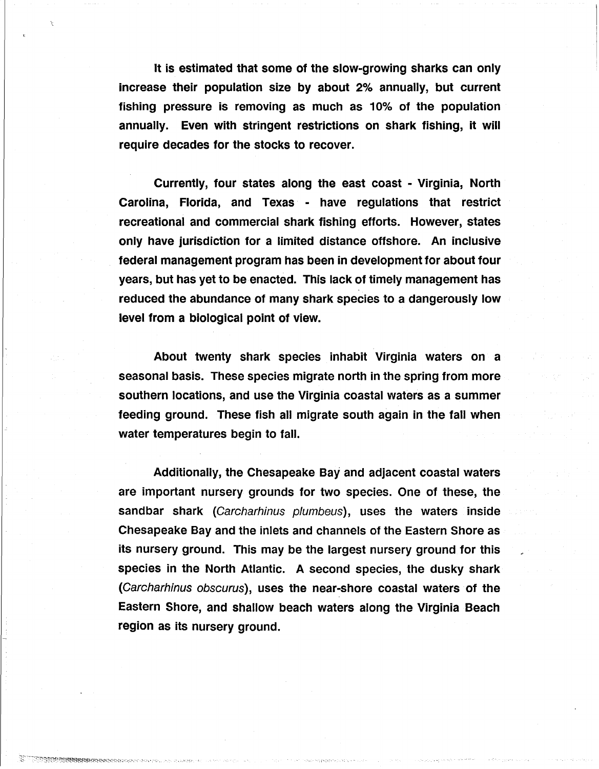It is estimated that some of the slow-growing sharks can only increase their population size by about 2% annually, but current fishing pressure is removing as much as 10% of the population annually. Even with stringent restrictions on shark fishing, it will require decades for the stocks to recover.

Currently, four states along the east coast - Virginia, North Carolina, Florida, and Texas - have regulations that restrict recreational and commercial shark fishing efforts. However, states only have jurisdiction for a limited distance offshore. An inclusive federal management program has been in development for about four years, but has yet to be enacted. This lack of timely management has reduced the abundance of many shark species to a dangerously low level from a biological point of view.

About twenty shark species inhabit Virginia waters on a seasonal basis. These species migrate north in the spring from more southern locations, and use the Virginia coastal waters as a summer feeding ground. These fish all migrate south again in the fall when water temperatures begin to fall.

Additionally, the Chesapeake Bay and adjacent coastal waters are important nursery grounds for two species. One of these, the sandbar shark (Carcharhinus plumbeus), uses the waters inside Chesapeake Bay and the inlets and channels of the Eastern Shore as its nursery ground. This may be the largest nursery ground for this species in the North Atlantic. A second species, the dusky shark (Carcharhinus obscurus), uses the near-shore coastal waters of the Eastern Shore, and shallow beach waters along the Virginia Beach region as its nursery ground.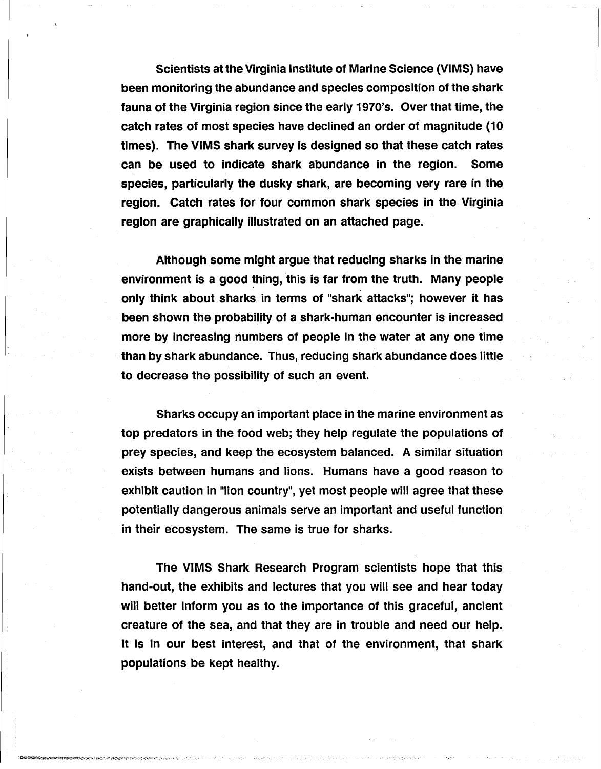Scientists at the Virginia Institute of Marine Science (VIMS) have been monitoring the abundance and species composition of the shark fauna of the Virginia region since the early 1970's. Over that time, the catch rates of most species have declined an order of magnitude (10 times). The VIMS shark survey is designed so that these catch rates can be used to indicate shark abundance in the region. Some species, particularly the dusky shark, are becoming very rare in the region. Catch rates for four common shark species in the Virginia region are graphically illustrated on an attached page.

Although some might argue that reducing sharks in the marine environment is a good thing, this is far from the truth. Many people only think about sharks in terms of "shark attacks"; however it has been shown the probability of a shark-human encounter is increased more by increasing numbers of people in the water at any one time than by shark abundance. Thus, reducing shark abundance does little to decrease the possibility of such an event.

Sharks occupy an important place in the marine environment as top predators in the food web; they help regulate the populations of prey species, and keep the ecosystem balanced. A similar situation exists between humans and lions. Humans have a good reason to exhibit caution in "lion country", yet most people will agree that these potentially dangerous animals serve an important and useful function in their ecosystem. The same is true for sharks.

The VIMS Shark Research Program scientists hope that this hand-out, the exhibits and lectures that you will see and hear today will better inform you as to the importance of this graceful, ancient creature of the sea, and that they are in trouble and need our help. It is in our best interest, and that of the environment, that shark populations be kept healthy.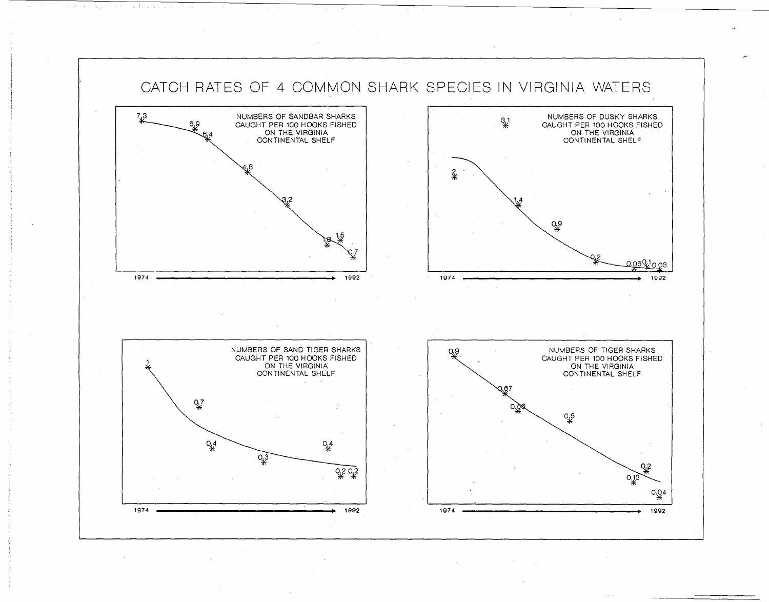

,"'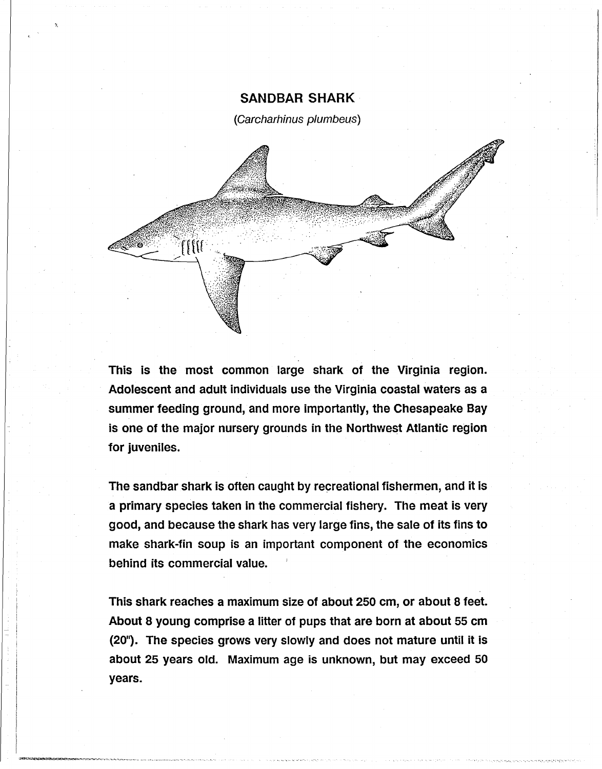### SANDBAR SHARK

(Carcharhinus plumbeus)



This is the most common large shark of the Virginia region. Adolescent and adult individuals use the Virginia coastal waters as a summer feeding ground, and more importantly, the Chesapeake Bay is one of the major nursery grounds in the Northwest Atlantic region for juveniles.

The sandbar shark is often caught by recreational fishermen, and it is a primary species taken in the commercial fishery. The meat is very good, and because the shark has very large fins, the sale of its fins to make shark-fin soup is an important component of the economics behind its commercial value.

This shark reaches a maximum size of about 250 cm, or about 8 feet. About 8 young comprise a litter of pups that are born at about 55 cm (20"). The species grows very slowly and does not mature until it is about 25 years old. Maximum age is unknown, but may exceed 50 years.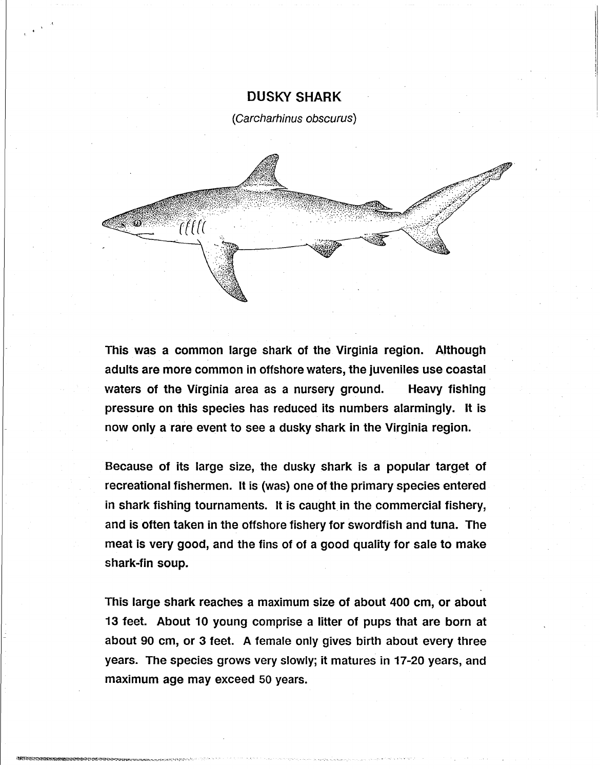### DUSKY SHARK

(Carcharhinus obscurus)



This was a common large shark of the Virginia region. Although adults are more common in offshore waters, the juveniles use coastal waters of the Virginia area as a nursery ground. Heavy fishing pressure on this species has reduced its numbers alarmingly. It is now only a rare event to see a dusky shark in the Virginia region.

Because of its large size, the dusky shark is a popular target of recreational fishermen. It is (was} one of the primary species entered in shark fishing tournaments. It is caught in the commercial fishery, and is often taken in the offshore fishery for swordfish and tuna. The meat is very good, and the fins of of a good quality for sale to make shark-fin soup.

This large shark reaches a maximum size of about 400 cm, or about 13 feet. About 10 young comprise a litter of pups that are born at about 90 cm, or 3 feet. A female only gives birth about every three years. The species grows very slowly; it matures in 17-20 years, and maximum age may exceed 50 years.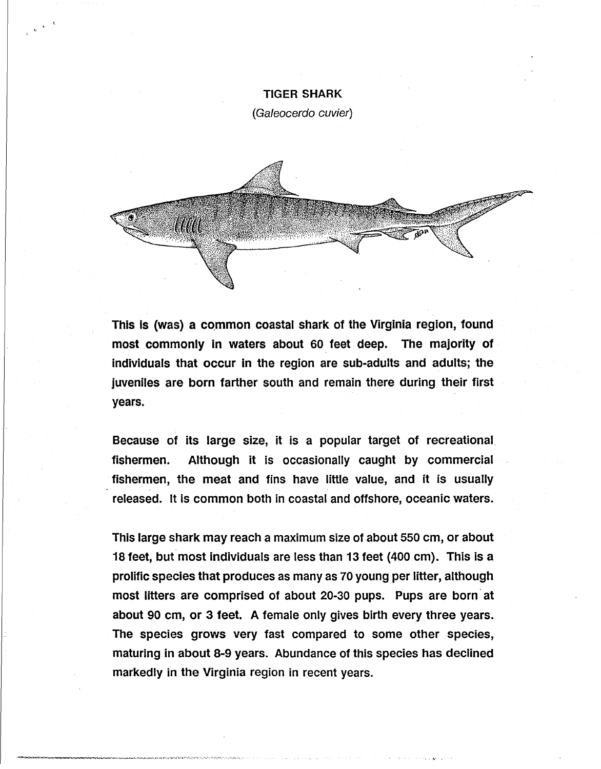# TIGER SHARK

(Galeocerdo cuvier)



This is (was) a common coastal shark of the Virginia region, found most commonly in waters about 60 feet deep. The majority of individuals that occur in the region are sub-adults and adults; the juveniles are born farther south and remain there during their first years.

Because of its large size, it is a popular target of recreational. fishermen. Although it is occasionally caught by commercial fishermen, the meat and fins have little value, and it is usually released. It is common both in coastal and offshore, oceanic waters.

This large shark may reach a maximum size of about 550 cm, or about 18 feet, but most individuals are less than 13 feet (400 cm). This **is a**  prolific species that produces as many as 70 young per litter, although most litters are comprised of about 20-30 pups. Pups are born at about 90 cm, or 3 feet. A female only gives birth every three years. The species grows very fast compared to some other species, maturing in about 8-9 years. Abundance of this species has declined markedly in the Virginia region in recent years.